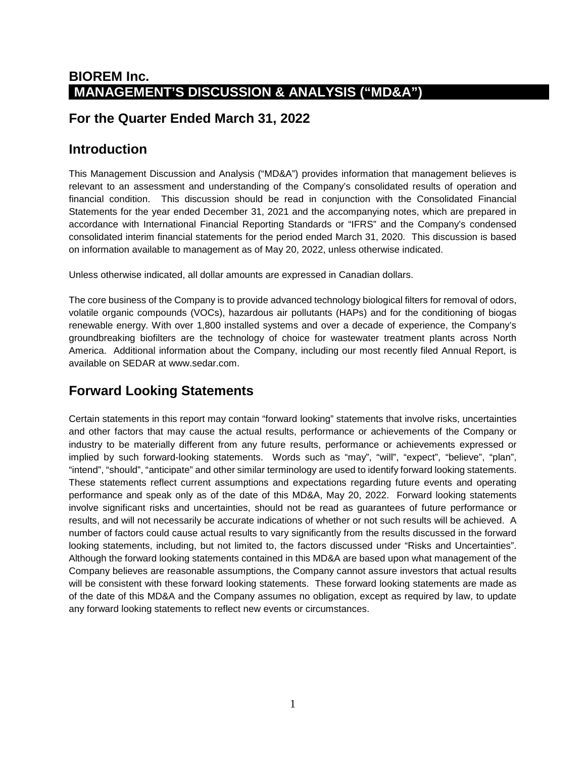### **BIOREM Inc. MANAGEMENT'S DISCUSSION & ANALYSIS ("MD&A")**

### **For the Quarter Ended March 31, 2022**

### **Introduction**

This Management Discussion and Analysis ("MD&A") provides information that management believes is relevant to an assessment and understanding of the Company's consolidated results of operation and financial condition. This discussion should be read in conjunction with the Consolidated Financial Statements for the year ended December 31, 2021 and the accompanying notes, which are prepared in accordance with International Financial Reporting Standards or "IFRS" and the Company's condensed consolidated interim financial statements for the period ended March 31, 2020. This discussion is based on information available to management as of May 20, 2022, unless otherwise indicated.

Unless otherwise indicated, all dollar amounts are expressed in Canadian dollars.

The core business of the Company is to provide advanced technology biological filters for removal of odors, volatile organic compounds (VOCs), hazardous air pollutants (HAPs) and for the conditioning of biogas renewable energy. With over 1,800 installed systems and over a decade of experience, the Company's groundbreaking biofilters are the technology of choice for wastewater treatment plants across North America. Additional information about the Company, including our most recently filed Annual Report, is available on SEDAR at www.sedar.com.

## **Forward Looking Statements**

Certain statements in this report may contain "forward looking" statements that involve risks, uncertainties and other factors that may cause the actual results, performance or achievements of the Company or industry to be materially different from any future results, performance or achievements expressed or implied by such forward-looking statements. Words such as "may", "will", "expect", "believe", "plan", "intend", "should", "anticipate" and other similar terminology are used to identify forward looking statements. These statements reflect current assumptions and expectations regarding future events and operating performance and speak only as of the date of this MD&A, May 20, 2022. Forward looking statements involve significant risks and uncertainties, should not be read as guarantees of future performance or results, and will not necessarily be accurate indications of whether or not such results will be achieved. A number of factors could cause actual results to vary significantly from the results discussed in the forward looking statements, including, but not limited to, the factors discussed under "Risks and Uncertainties". Although the forward looking statements contained in this MD&A are based upon what management of the Company believes are reasonable assumptions, the Company cannot assure investors that actual results will be consistent with these forward looking statements. These forward looking statements are made as of the date of this MD&A and the Company assumes no obligation, except as required by law, to update any forward looking statements to reflect new events or circumstances.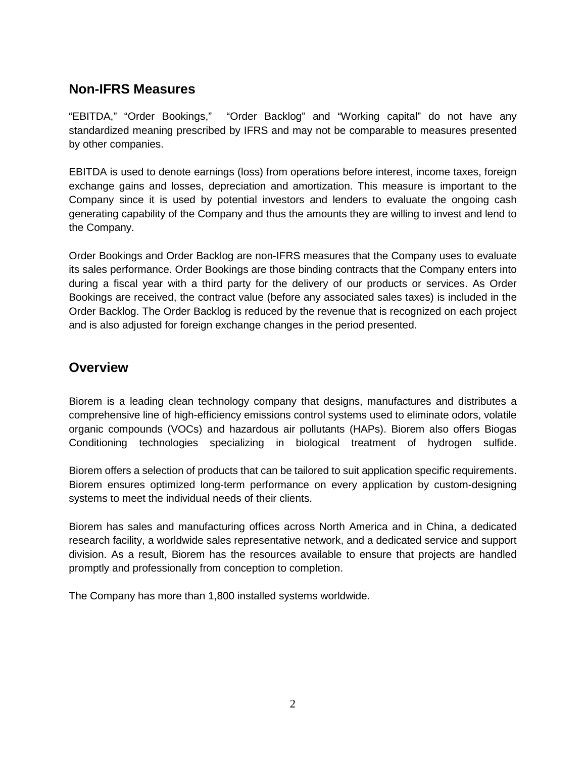### **Non-IFRS Measures**

"EBITDA," "Order Bookings," "Order Backlog" and "Working capital" do not have any standardized meaning prescribed by IFRS and may not be comparable to measures presented by other companies.

EBITDA is used to denote earnings (loss) from operations before interest, income taxes, foreign exchange gains and losses, depreciation and amortization. This measure is important to the Company since it is used by potential investors and lenders to evaluate the ongoing cash generating capability of the Company and thus the amounts they are willing to invest and lend to the Company.

Order Bookings and Order Backlog are non-IFRS measures that the Company uses to evaluate its sales performance. Order Bookings are those binding contracts that the Company enters into during a fiscal year with a third party for the delivery of our products or services. As Order Bookings are received, the contract value (before any associated sales taxes) is included in the Order Backlog. The Order Backlog is reduced by the revenue that is recognized on each project and is also adjusted for foreign exchange changes in the period presented.

### **Overview**

Biorem is a leading clean technology company that designs, manufactures and distributes a comprehensive line of high-efficiency emissions control systems used to eliminate odors, volatile organic compounds (VOCs) and hazardous air pollutants (HAPs). Biorem also offers Biogas Conditioning technologies specializing in biological treatment of hydrogen sulfide.

Biorem offers a selection of products that can be tailored to suit application specific requirements. Biorem ensures optimized long-term performance on every application by custom-designing systems to meet the individual needs of their clients.

Biorem has sales and manufacturing offices across North America and in China, a dedicated research facility, a worldwide sales representative network, and a dedicated service and support division. As a result, Biorem has the resources available to ensure that projects are handled promptly and professionally from conception to completion.

The Company has more than 1,800 installed systems worldwide.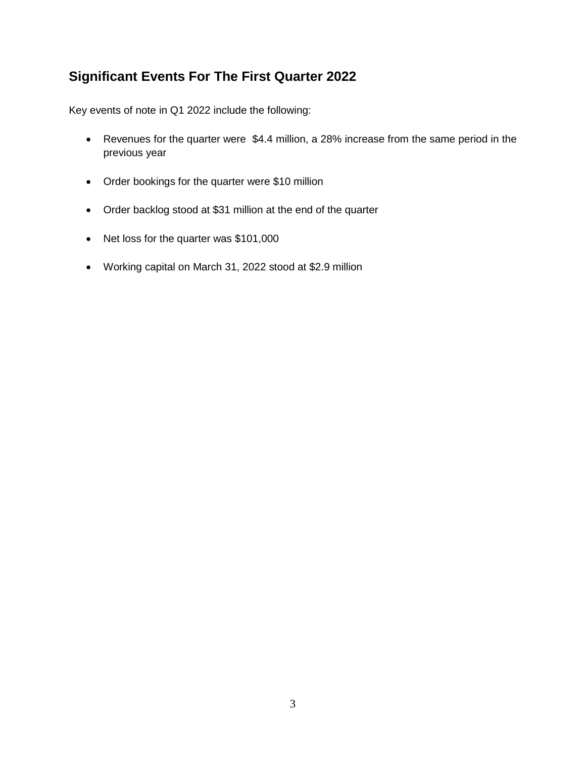# **Significant Events For The First Quarter 2022**

Key events of note in Q1 2022 include the following:

- Revenues for the quarter were \$4.4 million, a 28% increase from the same period in the previous year
- Order bookings for the quarter were \$10 million
- Order backlog stood at \$31 million at the end of the quarter
- Net loss for the quarter was \$101,000
- Working capital on March 31, 2022 stood at \$2.9 million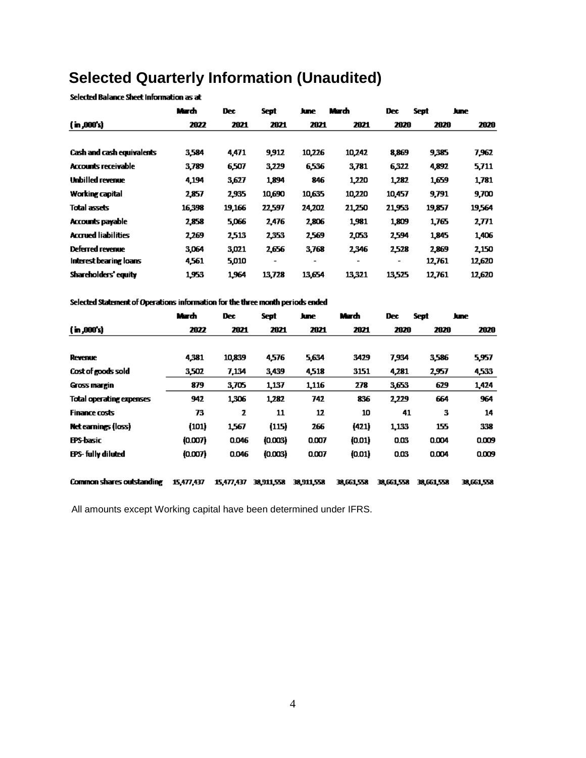# **Selected Quarterly Information (Unaudited)**

Selected Balance Sheet Information as at

|                            | March  | <b>Dec</b> | Sept                     | June                     | March                    | Dec.                     | Sept   | June   |
|----------------------------|--------|------------|--------------------------|--------------------------|--------------------------|--------------------------|--------|--------|
| (m,000s)                   | 2022   | 2021       | 2021                     | 2021                     | 2021                     | 2020                     | 2020   | 2020   |
|                            |        |            |                          |                          |                          |                          |        |        |
| Cash and cash equivalents  | 3,584  | 4,471      | 9,912                    | 10,226                   | 10,242                   | 8,869                    | 9,385  | 7,962  |
| <b>Accounts receivable</b> | 3,789  | 6,507      | 3,229                    | 6,536                    | 3,781                    | 6,322                    | 4,892  | 5,711  |
| Unbilled revenue           | 4,194  | 3,627      | 1,894                    | 846                      | 1,220                    | 1,282                    | 1,659  | 1,781  |
| Working capital            | 2,857  | 2,935      | 10,690                   | 10,635                   | 10,220                   | 10,457                   | 9,791  | 9,700  |
| Total assets               | 16,398 | 19,166     | 22,597                   | 24,202                   | 21,250                   | 21,953                   | 19,857 | 19564  |
| Accounts payable           | 2,858  | 5,066      | 2,476                    | 2,806                    | 1,981                    | 1,809                    | 1,765  | 2,771  |
| <b>Accrued liabilities</b> | 2,269  | 2,513      | 2,353                    | 2,569                    | 2,053                    | 2,594                    | 1,845  | 1,406  |
| Deferred revenue           | 3,064  | 3,021      | 2656                     | 3,768                    | 2,346                    | 2,528                    | 2,869  | 2,150  |
| Interest bearing loans     | 4,561  | 5,010      | $\overline{\phantom{a}}$ | $\overline{\phantom{0}}$ | $\overline{\phantom{a}}$ | $\overline{\phantom{a}}$ | 12,761 | 12,620 |
| Shareholders' equity       | 1953   | 1,964      | 13,728                   | 13,654                   | 13,321                   | 13,525                   | 12,761 | 12,620 |

#### Selected Statement of Operations information for the three month periods ended

|                                  | March      | <b>Dec</b> | Sept       | June       | March      | <b>Dec</b> | Sept       | June       |
|----------------------------------|------------|------------|------------|------------|------------|------------|------------|------------|
| $($ in ,000's)                   | 2022       | 2021       | 2021       | 2021       | 2021       | 2020       | 2020       | 2020       |
|                                  |            |            |            |            |            |            |            |            |
| Revenue                          | 4,381      | 10,839     | 4,576      | 5,634      | 3429       | 7.934      | 3,586      | 5,957      |
| Cost of goods sold               | 3.502      | 7,134      | 3,439      | 4,518      | 3151       | 4,281      | 2,957      | 4,533      |
| Gross margin                     | 879        | 3.705      | 1,137      | 1,116      | 278        | 3,653      | 629        | 1,424      |
| <b>Total operating expenses</b>  | 942        | 1,306      | 1,282      | 742        | 836        | 2,229      | 664        | 964        |
| <b>Finance costs</b>             | 73         | 2          | 11         | 12         | 10         | 41         | з          | 14         |
| Net earnings (loss)              | (101)      | 1567       | (115)      | 266        | (421)      | 1,133      | 155        | 338        |
| <b>EPS-basic</b>                 | (0.007)    | 0.046      | (0.003)    | 0.007      | (0.01)     | 0.03       | 0.004      | 0.009      |
| EPS- fully diluted               | (0.007)    | 0.046      | (0.003)    | 0.007      | (0.01)     | 0.03       | 0.004      | 0.009      |
| <b>Common shares outstanding</b> | 15,477,437 | 15,477,437 | 38.911.558 | 38.911.558 | 38,661,558 | 38,661,558 | 38,661,558 | 38,661,558 |

All amounts except Working capital have been determined under IFRS.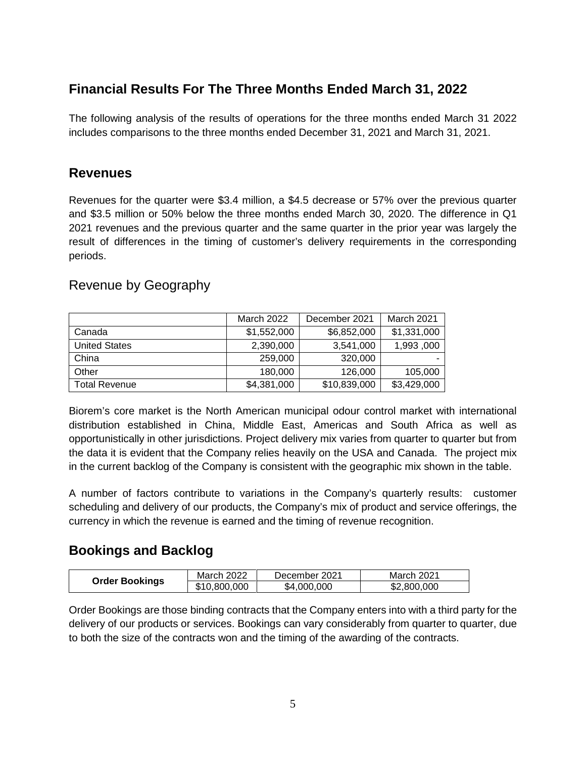### **Financial Results For The Three Months Ended March 31, 2022**

The following analysis of the results of operations for the three months ended March 31 2022 includes comparisons to the three months ended December 31, 2021 and March 31, 2021.

### **Revenues**

Revenues for the quarter were \$3.4 million, a \$4.5 decrease or 57% over the previous quarter and \$3.5 million or 50% below the three months ended March 30, 2020. The difference in Q1 2021 revenues and the previous quarter and the same quarter in the prior year was largely the result of differences in the timing of customer's delivery requirements in the corresponding periods.

### Revenue by Geography

|                      | March 2022  | December 2021 | March 2021  |
|----------------------|-------------|---------------|-------------|
| Canada               | \$1,552,000 | \$6,852,000   | \$1,331,000 |
| <b>United States</b> | 2,390,000   | 3.541.000     | 1,993,000   |
| China                | 259,000     | 320,000       |             |
| Other                | 180,000     | 126,000       | 105,000     |
| Total Revenue        | \$4,381,000 | \$10,839,000  | \$3,429,000 |

Biorem's core market is the North American municipal odour control market with international distribution established in China, Middle East, Americas and South Africa as well as opportunistically in other jurisdictions. Project delivery mix varies from quarter to quarter but from the data it is evident that the Company relies heavily on the USA and Canada. The project mix in the current backlog of the Company is consistent with the geographic mix shown in the table.

A number of factors contribute to variations in the Company's quarterly results: customer scheduling and delivery of our products, the Company's mix of product and service offerings, the currency in which the revenue is earned and the timing of revenue recognition.

### **Bookings and Backlog**

|                       | March 2022   | December 2021 | <b>March 2021</b> |
|-----------------------|--------------|---------------|-------------------|
| <b>Order Bookings</b> | \$10,800,000 | \$4,000,000   | \$2,800,000       |

Order Bookings are those binding contracts that the Company enters into with a third party for the delivery of our products or services. Bookings can vary considerably from quarter to quarter, due to both the size of the contracts won and the timing of the awarding of the contracts.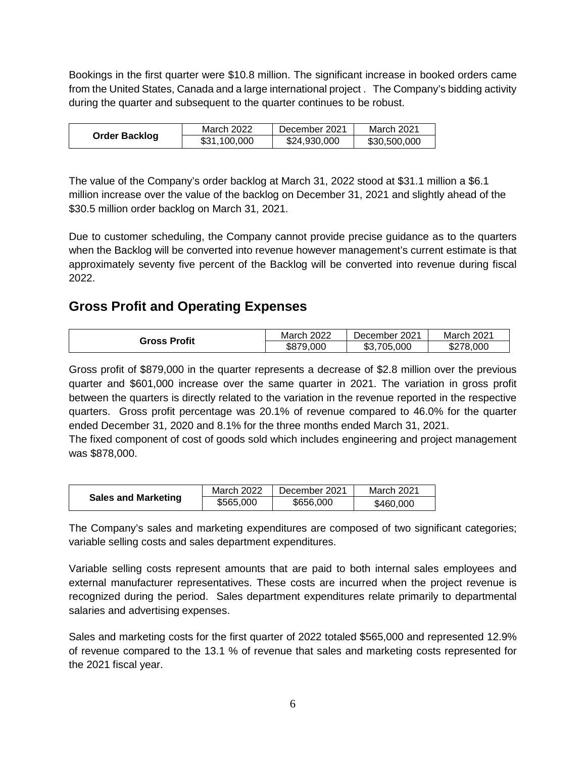Bookings in the first quarter were \$10.8 million. The significant increase in booked orders came from the United States, Canada and a large international project . The Company's bidding activity during the quarter and subsequent to the quarter continues to be robust.

|                      | <b>March 2022</b> | December 2021 | March 2021   |
|----------------------|-------------------|---------------|--------------|
| <b>Order Backlog</b> | \$31,100,000      | \$24,930,000  | \$30,500,000 |

The value of the Company's order backlog at March 31, 2022 stood at \$31.1 million a \$6.1 million increase over the value of the backlog on December 31, 2021 and slightly ahead of the \$30.5 million order backlog on March 31, 2021.

Due to customer scheduling, the Company cannot provide precise guidance as to the quarters when the Backlog will be converted into revenue however management's current estimate is that approximately seventy five percent of the Backlog will be converted into revenue during fiscal 2022.

### **Gross Profit and Operating Expenses**

| <b>Gross Profit</b> | 2022   | 2021       | 2021  |
|---------------------|--------|------------|-------|
|                     | March  | December 1 | March |
|                     | ,000   | .705.000   | ,000  |
|                     | \$87.S | ጥጣ         | 278.  |
|                     | 7u     | കാ.        | J∠    |

Gross profit of \$879,000 in the quarter represents a decrease of \$2.8 million over the previous quarter and \$601,000 increase over the same quarter in 2021. The variation in gross profit between the quarters is directly related to the variation in the revenue reported in the respective quarters. Gross profit percentage was 20.1% of revenue compared to 46.0% for the quarter ended December 31, 2020 and 8.1% for the three months ended March 31, 2021.

The fixed component of cost of goods sold which includes engineering and project management was \$878,000.

|                            | March 2022 | December 2021 | March 2021 |
|----------------------------|------------|---------------|------------|
| <b>Sales and Marketing</b> | \$565,000  | \$656,000     | \$460,000  |

The Company's sales and marketing expenditures are composed of two significant categories; variable selling costs and sales department expenditures.

Variable selling costs represent amounts that are paid to both internal sales employees and external manufacturer representatives. These costs are incurred when the project revenue is recognized during the period. Sales department expenditures relate primarily to departmental salaries and advertising expenses.

Sales and marketing costs for the first quarter of 2022 totaled \$565,000 and represented 12.9% of revenue compared to the 13.1 % of revenue that sales and marketing costs represented for the 2021 fiscal year.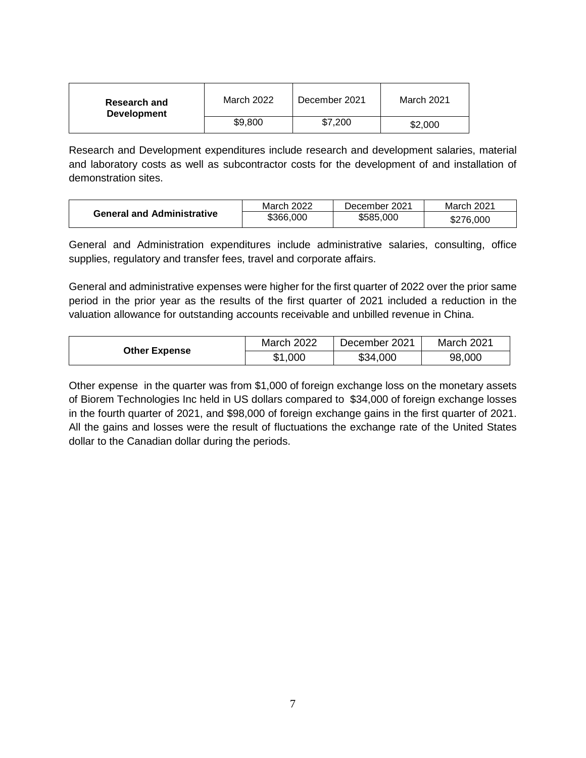| <b>Research and</b><br><b>Development</b> | March 2022 | December 2021 | <b>March 2021</b> |
|-------------------------------------------|------------|---------------|-------------------|
|                                           | \$9,800    | \$7,200       | \$2,000           |

Research and Development expenditures include research and development salaries, material and laboratory costs as well as subcontractor costs for the development of and installation of demonstration sites.

|                                   | March 2022 | December 2021 | March 2021 |
|-----------------------------------|------------|---------------|------------|
| <b>General and Administrative</b> | \$366,000  | \$585,000     | \$276,000  |

General and Administration expenditures include administrative salaries, consulting, office supplies, regulatory and transfer fees, travel and corporate affairs.

General and administrative expenses were higher for the first quarter of 2022 over the prior same period in the prior year as the results of the first quarter of 2021 included a reduction in the valuation allowance for outstanding accounts receivable and unbilled revenue in China.

|                      | March 2022 | December 2021 | March 2021 |
|----------------------|------------|---------------|------------|
| <b>Other Expense</b> | \$1,000    | \$34,000      | 98,000     |

Other expense in the quarter was from \$1,000 of foreign exchange loss on the monetary assets of Biorem Technologies Inc held in US dollars compared to \$34,000 of foreign exchange losses in the fourth quarter of 2021, and \$98,000 of foreign exchange gains in the first quarter of 2021. All the gains and losses were the result of fluctuations the exchange rate of the United States dollar to the Canadian dollar during the periods.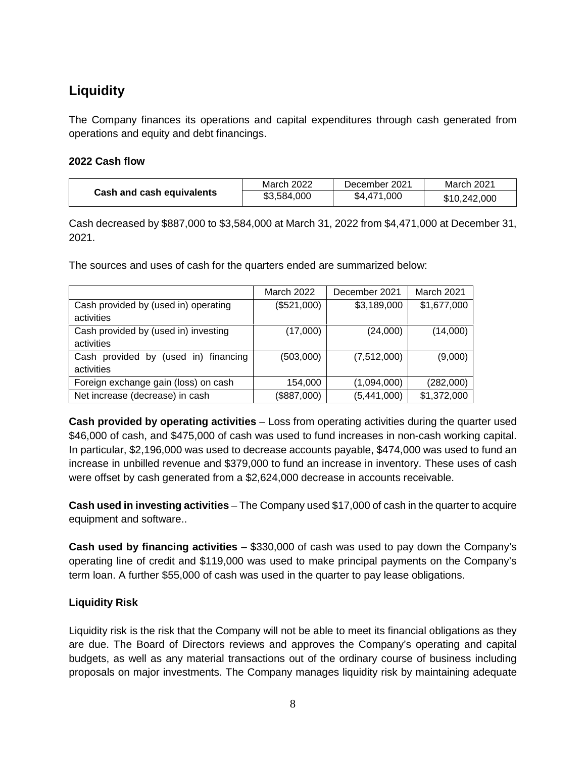# **Liquidity**

The Company finances its operations and capital expenditures through cash generated from operations and equity and debt financings.

#### **2022 Cash flow**

|                           | March 2022  | December 2021 | March 2021   |
|---------------------------|-------------|---------------|--------------|
| Cash and cash equivalents | \$3,584,000 | \$4,471,000   | \$10,242,000 |

Cash decreased by \$887,000 to \$3,584,000 at March 31, 2022 from \$4,471,000 at December 31, 2021.

The sources and uses of cash for the quarters ended are summarized below:

|                                      | March 2022  | December 2021 | <b>March 2021</b> |
|--------------------------------------|-------------|---------------|-------------------|
| Cash provided by (used in) operating | (\$521,000) | \$3,189,000   | \$1,677,000       |
| activities                           |             |               |                   |
| Cash provided by (used in) investing | (17,000)    | (24,000)      | (14,000)          |
| activities                           |             |               |                   |
| Cash provided by (used in) financing | (503,000)   | (7,512,000)   | (9,000)           |
| activities                           |             |               |                   |
| Foreign exchange gain (loss) on cash | 154,000     | (1,094,000)   | (282,000)         |
| Net increase (decrease) in cash      | (\$887,000) | (5,441,000)   | \$1,372,000       |

**Cash provided by operating activities** – Loss from operating activities during the quarter used \$46,000 of cash, and \$475,000 of cash was used to fund increases in non-cash working capital. In particular, \$2,196,000 was used to decrease accounts payable, \$474,000 was used to fund an increase in unbilled revenue and \$379,000 to fund an increase in inventory. These uses of cash were offset by cash generated from a \$2,624,000 decrease in accounts receivable.

**Cash used in investing activities** – The Company used \$17,000 of cash in the quarter to acquire equipment and software..

**Cash used by financing activities** – \$330,000 of cash was used to pay down the Company's operating line of credit and \$119,000 was used to make principal payments on the Company's term loan. A further \$55,000 of cash was used in the quarter to pay lease obligations.

#### **Liquidity Risk**

Liquidity risk is the risk that the Company will not be able to meet its financial obligations as they are due. The Board of Directors reviews and approves the Company's operating and capital budgets, as well as any material transactions out of the ordinary course of business including proposals on major investments. The Company manages liquidity risk by maintaining adequate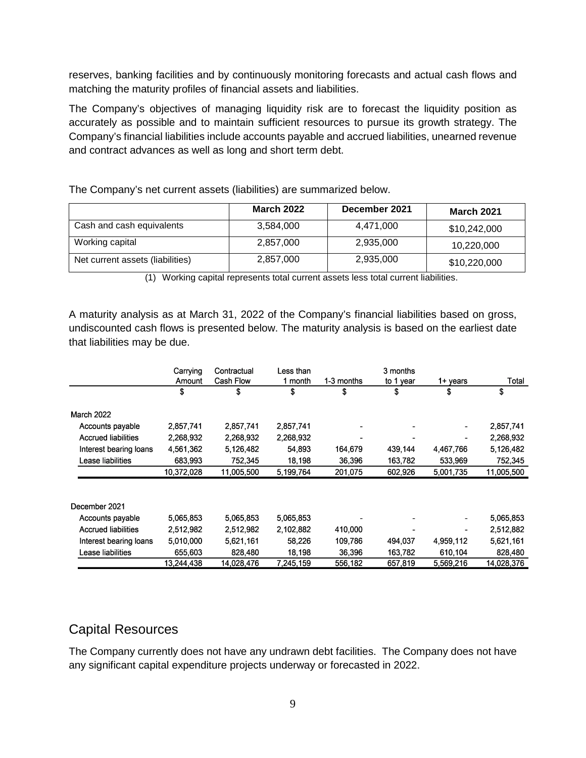reserves, banking facilities and by continuously monitoring forecasts and actual cash flows and matching the maturity profiles of financial assets and liabilities.

The Company's objectives of managing liquidity risk are to forecast the liquidity position as accurately as possible and to maintain sufficient resources to pursue its growth strategy. The Company's financial liabilities include accounts payable and accrued liabilities, unearned revenue and contract advances as well as long and short term debt.

|                                  | <b>March 2022</b> | December 2021 | <b>March 2021</b> |
|----------------------------------|-------------------|---------------|-------------------|
| Cash and cash equivalents        | 3,584,000         | 4.471.000     | \$10,242,000      |
| Working capital                  | 2,857,000         | 2,935,000     | 10,220,000        |
| Net current assets (liabilities) | 2,857,000         | 2,935,000     | \$10,220,000      |

The Company's net current assets (liabilities) are summarized below.

(1) Working capital represents total current assets less total current liabilities.

A maturity analysis as at March 31, 2022 of the Company's financial liabilities based on gross, undiscounted cash flows is presented below. The maturity analysis is based on the earliest date that liabilities may be due.

|                            | Carrying   | Contractual | Less than |            | 3 months  |                              |            |
|----------------------------|------------|-------------|-----------|------------|-----------|------------------------------|------------|
|                            | Amount     | Cash Flow   | 1 month   | 1-3 months | to 1 year | 1+ years                     | Total      |
|                            | \$         | \$          | \$        | \$         | \$        | \$                           | \$         |
| <b>March 2022</b>          |            |             |           |            |           |                              |            |
| Accounts payable           | 2,857,741  | 2,857,741   | 2,857,741 |            |           | $\blacksquare$               | 2,857,741  |
| <b>Accrued liabilities</b> | 2,268,932  | 2,268,932   | 2,268,932 |            |           |                              | 2,268,932  |
| Interest bearing loans     | 4,561,362  | 5,126,482   | 54,893    | 164,679    | 439,144   | 4,467,766                    | 5,126,482  |
| Lease liabilities          | 683,993    | 752,345     | 18,198    | 36,396     | 163,782   | 533,969                      | 752,345    |
|                            | 10,372,028 | 11,005,500  | 5,199,764 | 201,075    | 602,926   | 5,001,735                    | 11,005,500 |
|                            |            |             |           |            |           |                              |            |
| December 2021              |            |             |           |            |           |                              |            |
| Accounts payable           | 5,065,853  | 5,065,853   | 5,065,853 |            |           | $\qquad \qquad \blacksquare$ | 5,065,853  |
| <b>Accrued liabilities</b> | 2,512,982  | 2,512,982   | 2,102,882 | 410,000    |           | $\blacksquare$               | 2,512,882  |
| Interest bearing loans     | 5,010,000  | 5,621,161   | 58,226    | 109,786    | 494,037   | 4,959,112                    | 5,621,161  |
| Lease liabilities          | 655,603    | 828,480     | 18,198    | 36,396     | 163,782   | 610,104                      | 828,480    |
|                            | 13,244,438 | 14,028,476  | 7,245,159 | 556,182    | 657,819   | 5,569,216                    | 14,028,376 |

### Capital Resources

The Company currently does not have any undrawn debt facilities. The Company does not have any significant capital expenditure projects underway or forecasted in 2022.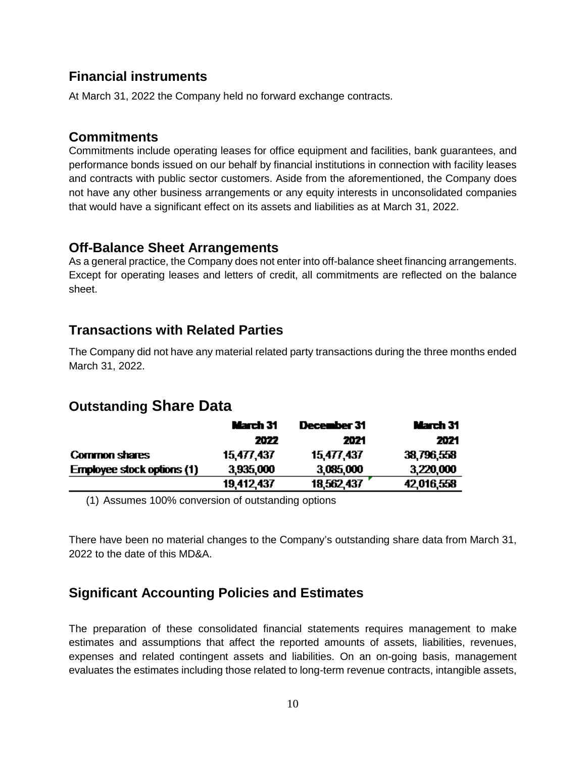### **Financial instruments**

At March 31, 2022 the Company held no forward exchange contracts.

### **Commitments**

Commitments include operating leases for office equipment and facilities, bank guarantees, and performance bonds issued on our behalf by financial institutions in connection with facility leases and contracts with public sector customers. Aside from the aforementioned, the Company does not have any other business arrangements or any equity interests in unconsolidated companies that would have a significant effect on its assets and liabilities as at March 31, 2022.

### **Off-Balance Sheet Arrangements**

As a general practice, the Company does not enter into off-balance sheet financing arrangements. Except for operating leases and letters of credit, all commitments are reflected on the balance sheet.

### **Transactions with Related Parties**

The Company did not have any material related party transactions during the three months ended March 31, 2022.

# **Outstanding Share Data**

|                                   | March 31   | December 31 | March 31   |
|-----------------------------------|------------|-------------|------------|
|                                   | 2022       | 2021        | 2021       |
| <b>Common shares</b>              | 15,477,437 | 15,477,437  | 38,796,558 |
| <b>Employee stock options (1)</b> | 3,935,000  | 3,085,000   | 3,220,000  |
|                                   | 19,412,437 | 18,562,437  | 42,016,558 |

(1) Assumes 100% conversion of outstanding options

There have been no material changes to the Company's outstanding share data from March 31, 2022 to the date of this MD&A.

### **Significant Accounting Policies and Estimates**

The preparation of these consolidated financial statements requires management to make estimates and assumptions that affect the reported amounts of assets, liabilities, revenues, expenses and related contingent assets and liabilities. On an on-going basis, management evaluates the estimates including those related to long-term revenue contracts, intangible assets,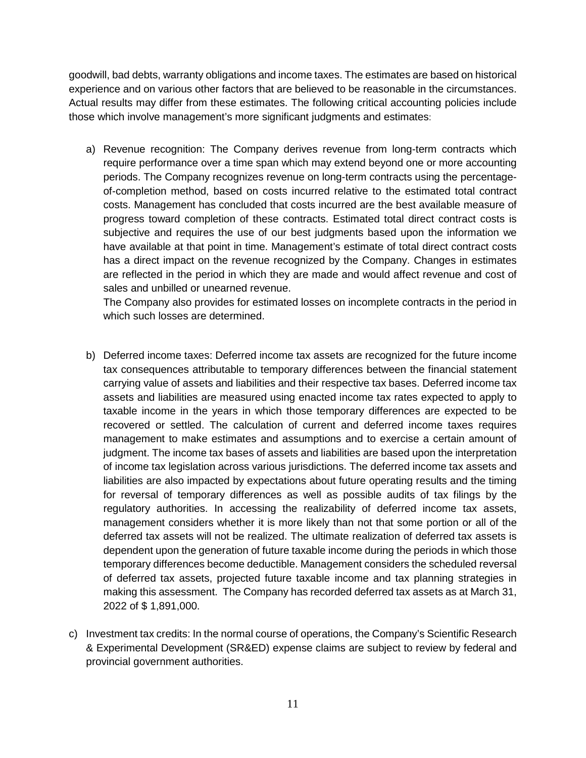goodwill, bad debts, warranty obligations and income taxes. The estimates are based on historical experience and on various other factors that are believed to be reasonable in the circumstances. Actual results may differ from these estimates. The following critical accounting policies include those which involve management's more significant judgments and estimates:

a) Revenue recognition: The Company derives revenue from long-term contracts which require performance over a time span which may extend beyond one or more accounting periods. The Company recognizes revenue on long-term contracts using the percentageof-completion method, based on costs incurred relative to the estimated total contract costs. Management has concluded that costs incurred are the best available measure of progress toward completion of these contracts. Estimated total direct contract costs is subjective and requires the use of our best judgments based upon the information we have available at that point in time. Management's estimate of total direct contract costs has a direct impact on the revenue recognized by the Company. Changes in estimates are reflected in the period in which they are made and would affect revenue and cost of sales and unbilled or unearned revenue.

The Company also provides for estimated losses on incomplete contracts in the period in which such losses are determined.

- b) Deferred income taxes: Deferred income tax assets are recognized for the future income tax consequences attributable to temporary differences between the financial statement carrying value of assets and liabilities and their respective tax bases. Deferred income tax assets and liabilities are measured using enacted income tax rates expected to apply to taxable income in the years in which those temporary differences are expected to be recovered or settled. The calculation of current and deferred income taxes requires management to make estimates and assumptions and to exercise a certain amount of judgment. The income tax bases of assets and liabilities are based upon the interpretation of income tax legislation across various jurisdictions. The deferred income tax assets and liabilities are also impacted by expectations about future operating results and the timing for reversal of temporary differences as well as possible audits of tax filings by the regulatory authorities. In accessing the realizability of deferred income tax assets, management considers whether it is more likely than not that some portion or all of the deferred tax assets will not be realized. The ultimate realization of deferred tax assets is dependent upon the generation of future taxable income during the periods in which those temporary differences become deductible. Management considers the scheduled reversal of deferred tax assets, projected future taxable income and tax planning strategies in making this assessment. The Company has recorded deferred tax assets as at March 31, 2022 of \$ 1,891,000.
- c) Investment tax credits: In the normal course of operations, the Company's Scientific Research & Experimental Development (SR&ED) expense claims are subject to review by federal and provincial government authorities.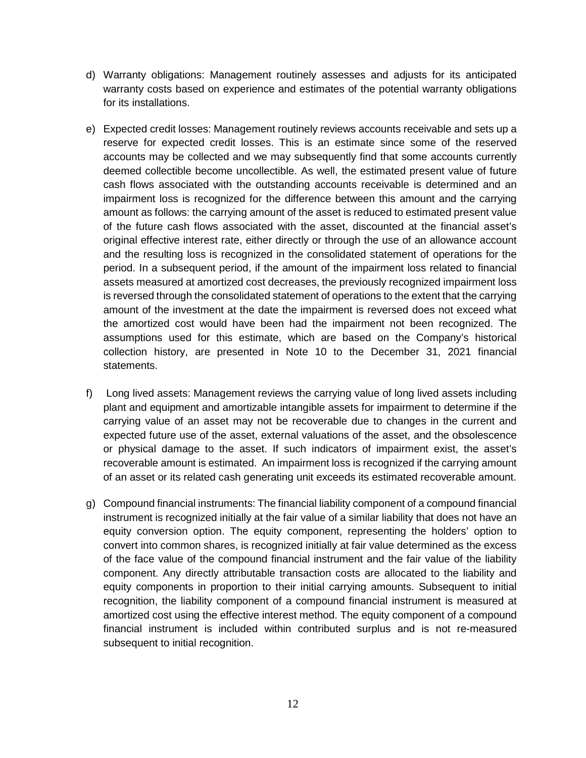- d) Warranty obligations: Management routinely assesses and adjusts for its anticipated warranty costs based on experience and estimates of the potential warranty obligations for its installations.
- e) Expected credit losses: Management routinely reviews accounts receivable and sets up a reserve for expected credit losses. This is an estimate since some of the reserved accounts may be collected and we may subsequently find that some accounts currently deemed collectible become uncollectible. As well, the estimated present value of future cash flows associated with the outstanding accounts receivable is determined and an impairment loss is recognized for the difference between this amount and the carrying amount as follows: the carrying amount of the asset is reduced to estimated present value of the future cash flows associated with the asset, discounted at the financial asset's original effective interest rate, either directly or through the use of an allowance account and the resulting loss is recognized in the consolidated statement of operations for the period. In a subsequent period, if the amount of the impairment loss related to financial assets measured at amortized cost decreases, the previously recognized impairment loss is reversed through the consolidated statement of operations to the extent that the carrying amount of the investment at the date the impairment is reversed does not exceed what the amortized cost would have been had the impairment not been recognized. The assumptions used for this estimate, which are based on the Company's historical collection history, are presented in Note 10 to the December 31, 2021 financial statements.
- f) Long lived assets: Management reviews the carrying value of long lived assets including plant and equipment and amortizable intangible assets for impairment to determine if the carrying value of an asset may not be recoverable due to changes in the current and expected future use of the asset, external valuations of the asset, and the obsolescence or physical damage to the asset. If such indicators of impairment exist, the asset's recoverable amount is estimated. An impairment loss is recognized if the carrying amount of an asset or its related cash generating unit exceeds its estimated recoverable amount.
- g) Compound financial instruments: The financial liability component of a compound financial instrument is recognized initially at the fair value of a similar liability that does not have an equity conversion option. The equity component, representing the holders' option to convert into common shares, is recognized initially at fair value determined as the excess of the face value of the compound financial instrument and the fair value of the liability component. Any directly attributable transaction costs are allocated to the liability and equity components in proportion to their initial carrying amounts. Subsequent to initial recognition, the liability component of a compound financial instrument is measured at amortized cost using the effective interest method. The equity component of a compound financial instrument is included within contributed surplus and is not re-measured subsequent to initial recognition.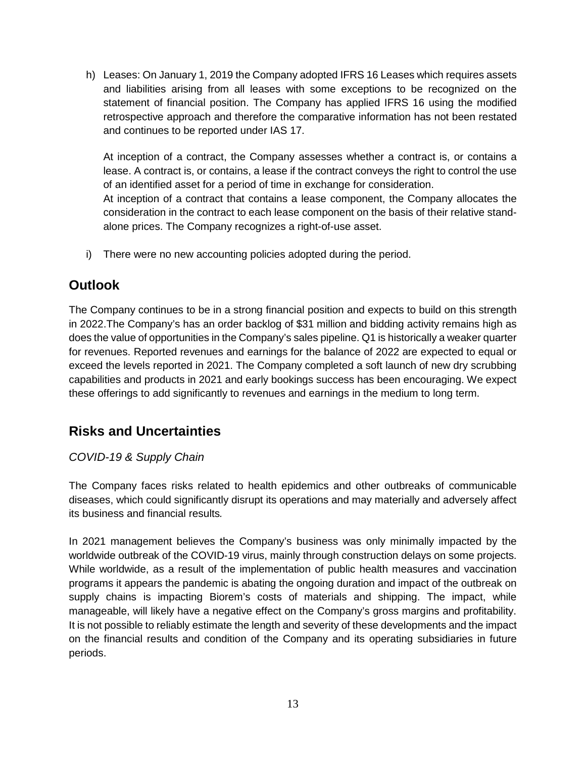h) Leases: On January 1, 2019 the Company adopted IFRS 16 Leases which requires assets and liabilities arising from all leases with some exceptions to be recognized on the statement of financial position. The Company has applied IFRS 16 using the modified retrospective approach and therefore the comparative information has not been restated and continues to be reported under IAS 17.

At inception of a contract, the Company assesses whether a contract is, or contains a lease. A contract is, or contains, a lease if the contract conveys the right to control the use of an identified asset for a period of time in exchange for consideration.

At inception of a contract that contains a lease component, the Company allocates the consideration in the contract to each lease component on the basis of their relative standalone prices. The Company recognizes a right-of-use asset.

i) There were no new accounting policies adopted during the period.

# **Outlook**

The Company continues to be in a strong financial position and expects to build on this strength in 2022.The Company's has an order backlog of \$31 million and bidding activity remains high as does the value of opportunities in the Company's sales pipeline. Q1 is historically a weaker quarter for revenues. Reported revenues and earnings for the balance of 2022 are expected to equal or exceed the levels reported in 2021. The Company completed a soft launch of new dry scrubbing capabilities and products in 2021 and early bookings success has been encouraging. We expect these offerings to add significantly to revenues and earnings in the medium to long term.

# **Risks and Uncertainties**

### *COVID-19 & Supply Chain*

The Company faces risks related to health epidemics and other outbreaks of communicable diseases, which could significantly disrupt its operations and may materially and adversely affect its business and financial results*.* 

In 2021 management believes the Company's business was only minimally impacted by the worldwide outbreak of the COVID-19 virus, mainly through construction delays on some projects. While worldwide, as a result of the implementation of public health measures and vaccination programs it appears the pandemic is abating the ongoing duration and impact of the outbreak on supply chains is impacting Biorem's costs of materials and shipping. The impact, while manageable, will likely have a negative effect on the Company's gross margins and profitability. It is not possible to reliably estimate the length and severity of these developments and the impact on the financial results and condition of the Company and its operating subsidiaries in future periods.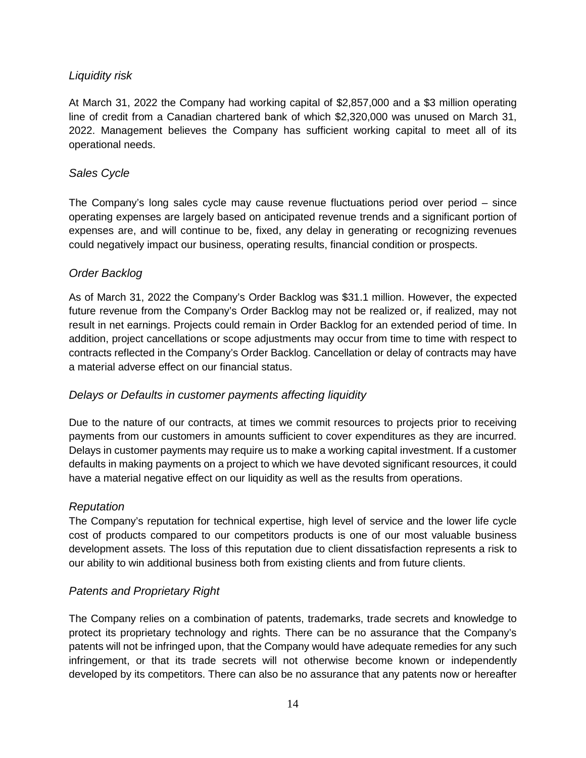#### *Liquidity risk*

At March 31, 2022 the Company had working capital of \$2,857,000 and a \$3 million operating line of credit from a Canadian chartered bank of which \$2,320,000 was unused on March 31, 2022. Management believes the Company has sufficient working capital to meet all of its operational needs.

#### *Sales Cycle*

The Company's long sales cycle may cause revenue fluctuations period over period – since operating expenses are largely based on anticipated revenue trends and a significant portion of expenses are, and will continue to be, fixed, any delay in generating or recognizing revenues could negatively impact our business, operating results, financial condition or prospects.

#### *Order Backlog*

As of March 31, 2022 the Company's Order Backlog was \$31.1 million. However, the expected future revenue from the Company's Order Backlog may not be realized or, if realized, may not result in net earnings. Projects could remain in Order Backlog for an extended period of time. In addition, project cancellations or scope adjustments may occur from time to time with respect to contracts reflected in the Company's Order Backlog. Cancellation or delay of contracts may have a material adverse effect on our financial status.

#### *Delays or Defaults in customer payments affecting liquidity*

Due to the nature of our contracts, at times we commit resources to projects prior to receiving payments from our customers in amounts sufficient to cover expenditures as they are incurred. Delays in customer payments may require us to make a working capital investment. If a customer defaults in making payments on a project to which we have devoted significant resources, it could have a material negative effect on our liquidity as well as the results from operations.

#### *Reputation*

The Company's reputation for technical expertise, high level of service and the lower life cycle cost of products compared to our competitors products is one of our most valuable business development assets. The loss of this reputation due to client dissatisfaction represents a risk to our ability to win additional business both from existing clients and from future clients.

#### *Patents and Proprietary Right*

The Company relies on a combination of patents, trademarks, trade secrets and knowledge to protect its proprietary technology and rights. There can be no assurance that the Company's patents will not be infringed upon, that the Company would have adequate remedies for any such infringement, or that its trade secrets will not otherwise become known or independently developed by its competitors. There can also be no assurance that any patents now or hereafter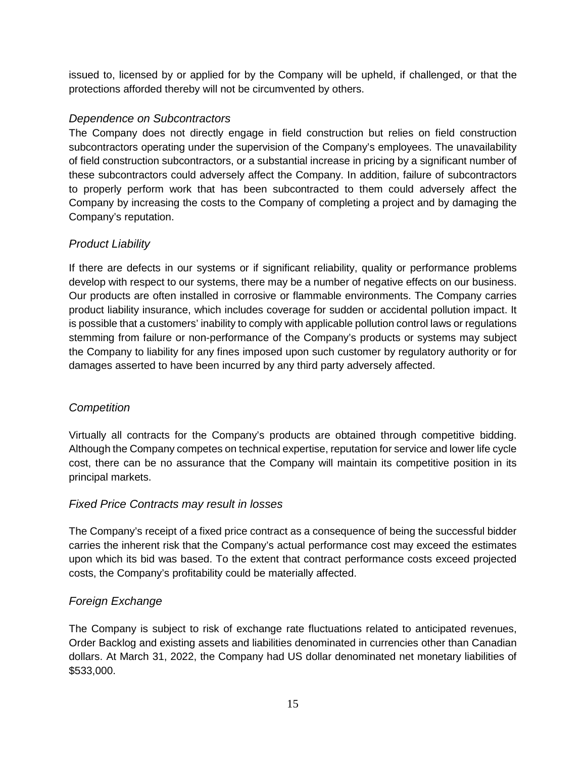issued to, licensed by or applied for by the Company will be upheld, if challenged, or that the protections afforded thereby will not be circumvented by others.

#### *Dependence on Subcontractors*

The Company does not directly engage in field construction but relies on field construction subcontractors operating under the supervision of the Company's employees. The unavailability of field construction subcontractors, or a substantial increase in pricing by a significant number of these subcontractors could adversely affect the Company. In addition, failure of subcontractors to properly perform work that has been subcontracted to them could adversely affect the Company by increasing the costs to the Company of completing a project and by damaging the Company's reputation.

#### *Product Liability*

If there are defects in our systems or if significant reliability, quality or performance problems develop with respect to our systems, there may be a number of negative effects on our business. Our products are often installed in corrosive or flammable environments. The Company carries product liability insurance, which includes coverage for sudden or accidental pollution impact. It is possible that a customers' inability to comply with applicable pollution control laws or regulations stemming from failure or non-performance of the Company's products or systems may subject the Company to liability for any fines imposed upon such customer by regulatory authority or for damages asserted to have been incurred by any third party adversely affected.

### *Competition*

Virtually all contracts for the Company's products are obtained through competitive bidding. Although the Company competes on technical expertise, reputation for service and lower life cycle cost, there can be no assurance that the Company will maintain its competitive position in its principal markets.

#### *Fixed Price Contracts may result in losses*

The Company's receipt of a fixed price contract as a consequence of being the successful bidder carries the inherent risk that the Company's actual performance cost may exceed the estimates upon which its bid was based. To the extent that contract performance costs exceed projected costs, the Company's profitability could be materially affected.

### *Foreign Exchange*

The Company is subject to risk of exchange rate fluctuations related to anticipated revenues, Order Backlog and existing assets and liabilities denominated in currencies other than Canadian dollars. At March 31, 2022, the Company had US dollar denominated net monetary liabilities of \$533,000.